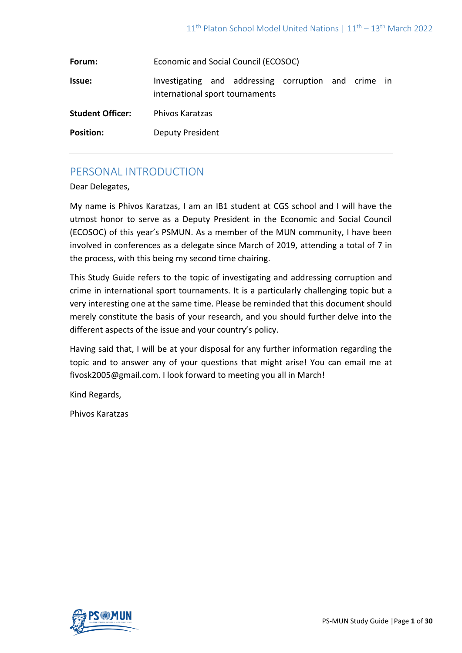| Forum:                  | Economic and Social Council (ECOSOC)                                                    |
|-------------------------|-----------------------------------------------------------------------------------------|
| <b>Issue:</b>           | Investigating and addressing corruption and crime in<br>international sport tournaments |
| <b>Student Officer:</b> | <b>Phivos Karatzas</b>                                                                  |
| <b>Position:</b>        | <b>Deputy President</b>                                                                 |

# PERSONAL INTRODUCTION

Dear Delegates,

My name is Phivos Karatzas, I am an IB1 student at CGS school and I will have the utmost honor to serve as a Deputy President in the Economic and Social Council (ECOSOC) of this year's PSMUN. As a member of the MUN community, I have been involved in conferences as a delegate since March of 2019, attending a total of 7 in the process, with this being my second time chairing.

This Study Guide refers to the topic of investigating and addressing corruption and crime in international sport tournaments. It is a particularly challenging topic but a very interesting one at the same time. Please be reminded that this document should merely constitute the basis of your research, and you should further delve into the different aspects of the issue and your country's policy.

Having said that, I will be at your disposal for any further information regarding the topic and to answer any of your questions that might arise! You can email me at [fivosk2005@gmail.com.](mailto:fivosk2005@gmail.com) I look forward to meeting you all in March!

Kind Regards,

Phivos Karatzas

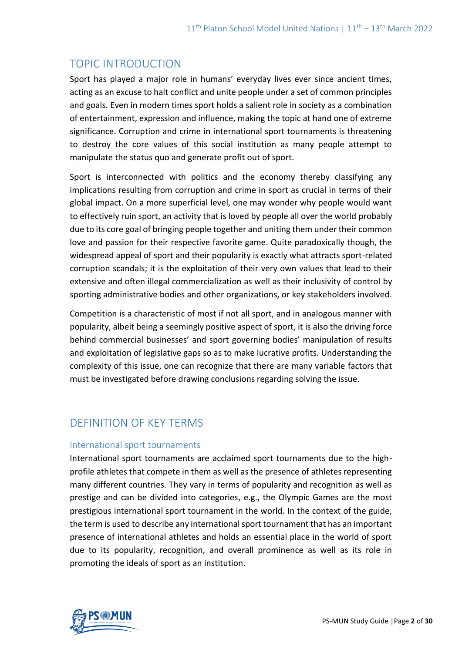# TOPIC INTRODUCTION

Sport has played a major role in humans' everyday lives ever since ancient times, acting as an excuse to halt conflict and unite people under a set of common principles and goals. Even in modern times sport holds a salient role in society as a combination of entertainment, expression and influence, making the topic at hand one of extreme significance. Corruption and crime in international sport tournaments is threatening to destroy the core values of this social institution as many people attempt to manipulate the status quo and generate profit out of sport.

Sport is interconnected with politics and the economy thereby classifying any implications resulting from corruption and crime in sport as crucial in terms of their global impact. On a more superficial level, one may wonder why people would want to effectively ruin sport, an activity that is loved by people all over the world probably due to its core goal of bringing people together and uniting them under their common love and passion for their respective favorite game. Quite paradoxically though, the widespread appeal of sport and their popularity is exactly what attracts sport-related corruption scandals; it is the exploitation of their very own values that lead to their extensive and often illegal commercialization as well as their inclusivity of control by sporting administrative bodies and other organizations, or key stakeholders involved.

Competition is a characteristic of most if not all sport, and in analogous manner with popularity, albeit being a seemingly positive aspect of sport, it is also the driving force behind commercial businesses' and sport governing bodies' manipulation of results and exploitation of legislative gaps so as to make lucrative profits. Understanding the complexity of this issue, one can recognize that there are many variable factors that must be investigated before drawing conclusions regarding solving the issue.

# DEFINITION OF KEY TERMS

## International sport tournaments

International sport tournaments are acclaimed sport tournaments due to the highprofile athletes that compete in them as well as the presence of athletes representing many different countries. They vary in terms of popularity and recognition as well as prestige and can be divided into categories, e.g., the Olympic Games are the most prestigious international sport tournament in the world. In the context of the guide, the term is used to describe any international sport tournament that has an important presence of international athletes and holds an essential place in the world of sport due to its popularity, recognition, and overall prominence as well as its role in promoting the ideals of sport as an institution.

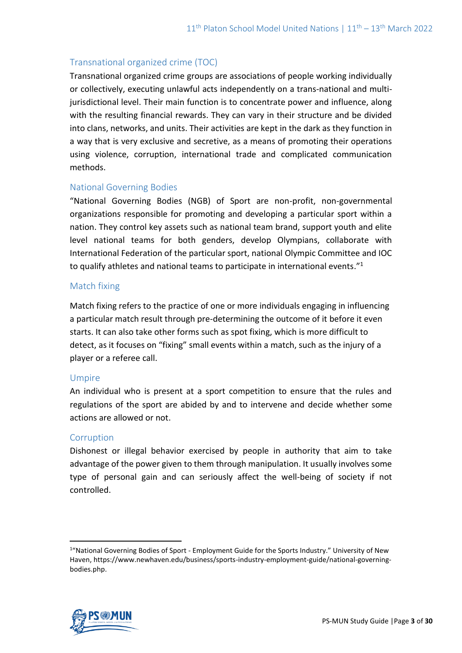## Transnational organized crime (TOC)

Transnational organized crime groups are associations of people working individually or collectively, executing unlawful acts independently on a trans-national and multijurisdictional level. Their main function is to concentrate power and influence, along with the resulting financial rewards. They can vary in their structure and be divided into clans, networks, and units. Their activities are kept in the dark as they function in a way that is very exclusive and secretive, as a means of promoting their operations using violence, corruption, international trade and complicated communication methods.

## National Governing Bodies

"National Governing Bodies (NGB) of Sport are non-profit, non-governmental organizations responsible for promoting and developing a particular sport within a nation. They control key assets such as national team brand, support youth and elite level national teams for both genders, develop Olympians, collaborate with International Federation of the particular sport, national Olympic Committee and IOC to qualify athletes and national teams to participate in international events."<sup>1</sup>

### Match fixing

Match fixing refers to the practice of one or more individuals engaging in influencing a particular match result through pre-determining the outcome of it before it even starts. It can also take other forms such as spot fixing, which is more difficult to detect, as it focuses on "fixing" small events within a match, such as the injury of a player or a referee call.

#### Umpire

An individual who is present at a sport competition to ensure that the rules and regulations of the sport are abided by and to intervene and decide whether some actions are allowed or not.

#### **Corruption**

Dishonest or illegal behavior exercised by people in authority that aim to take advantage of the power given to them through manipulation. It usually involves some type of personal gain and can seriously affect the well-being of society if not controlled.



<sup>&</sup>lt;sup>1</sup>"National Governing Bodies of Sport - Employment Guide for the Sports Industry." University of New Haven, https://www.newhaven.edu/business/sports-industry-employment-guide/national-governingbodies.php.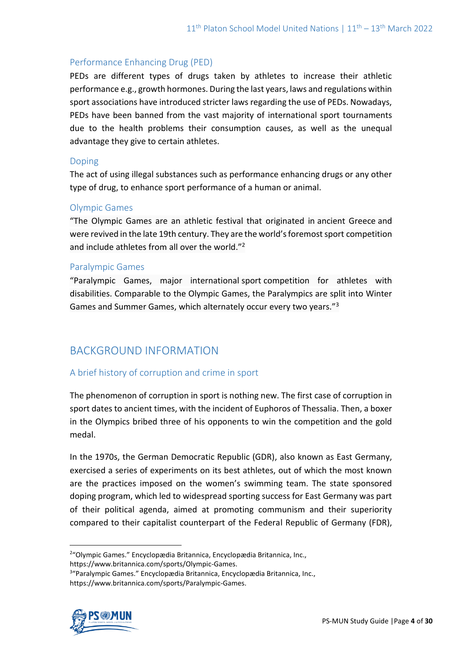## Performance Enhancing Drug (PED)

PEDs are different types of drugs taken by athletes to increase their athletic performance e.g., growth hormones. During the last years, laws and regulations within sport associations have introduced stricter laws regarding the use of PEDs. Nowadays, PEDs have been banned from the vast majority of international sport tournaments due to the health problems their consumption causes, as well as the unequal advantage they give to certain athletes.

### Doping

The act of using illegal substances such as performance enhancing drugs or any other type of drug, to enhance sport performance of a human or animal.

### Olympic Games

"The Olympic Games are an athletic festival that originated in [ancient Greece](https://www.britannica.com/place/ancient-Greece) and were revived in the late 19th century. They are the world's foremost sport competition and include athletes from all over the world."<sup>2</sup>

### Paralympic Games

"Paralympic Games, major international sport competition for athletes with disabilities. Comparable to the [Olympic Games,](https://www.britannica.com/sports/Olympic-Games) the Paralympics are split into Winter Games and Summer Games, which alternately occur every two years."<sup>3</sup>

# BACKGROUND INFORMATION

## A brief history of corruption and crime in sport

The phenomenon of corruption in sport is nothing new. The first case of corruption in sport dates to ancient times, with the incident of Euphoros of Thessalia. Then, a boxer in the Olympics bribed three of his opponents to win the competition and the gold medal.

In the 1970s, the German Democratic Republic (GDR), also known as East Germany, exercised a series of experiments on its best athletes, out of which the most known are the practices imposed on the women's swimming team. The state sponsored doping program, which led to widespread sporting success for East Germany was part of their political agenda, aimed at promoting communism and their superiority compared to their capitalist counterpart of the Federal Republic of Germany (FDR),

<sup>3</sup> "Paralympic Games." Encyclopædia Britannica, Encyclopædia Britannica, Inc., https://www.britannica.com/sports/Paralympic-Games.



<sup>&</sup>lt;sup>2</sup>"Olympic Games." Encyclopædia Britannica, Encyclopædia Britannica, Inc., https://www.britannica.com/sports/Olympic-Games.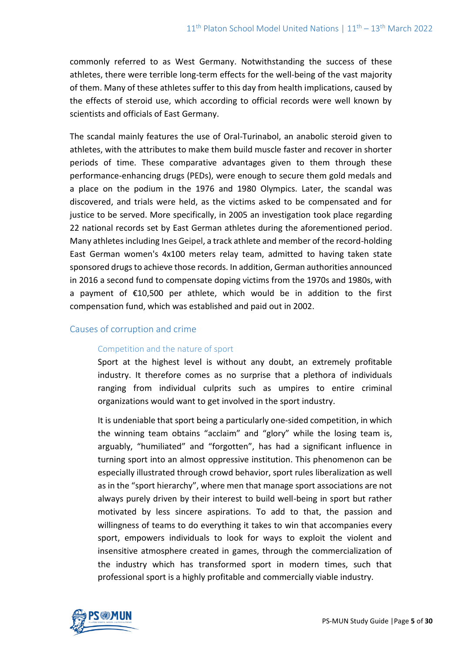commonly referred to as West Germany. Notwithstanding the success of these athletes, there were terrible long-term effects for the well-being of the vast majority of them. Many of these athletes suffer to this day from health implications, caused by the effects of steroid use, which according to official records were well known by scientists and officials of East Germany.

The scandal mainly features the use of Oral-Turinabol, an anabolic steroid given to athletes, with the attributes to make them build muscle faster and recover in shorter periods of time. These comparative advantages given to them through these performance-enhancing drugs (PEDs), were enough to secure them gold medals and a place on the podium in the 1976 and 1980 Olympics. Later, the scandal was discovered, and trials were held, as the victims asked to be compensated and for justice to be served. More specifically, in 2005 an investigation took place regarding 22 national records set by East German athletes during the aforementioned period. Many athletes including Ines Geipel, a track athlete and member of the record-holding East German women's 4x100 meters relay team, admitted to having taken state sponsored drugs to achieve those records. In addition, German authorities announced in 2016 a second fund to compensate doping victims from the 1970s and 1980s, with a payment of €10,500 per athlete, which would be in addition to the first compensation fund, which was established and paid out in 2002.

## Causes of corruption and crime

#### Competition and the nature of sport

Sport at the highest level is without any doubt, an extremely profitable industry. It therefore comes as no surprise that a plethora of individuals ranging from individual culprits such as umpires to entire criminal organizations would want to get involved in the sport industry.

It is undeniable that sport being a particularly one-sided competition, in which the winning team obtains "acclaim" and "glory" while the losing team is, arguably, "humiliated" and "forgotten", has had a significant influence in turning sport into an almost oppressive institution. This phenomenon can be especially illustrated through crowd behavior, sport rules liberalization as well as in the "sport hierarchy", where men that manage sport associations are not always purely driven by their interest to build well-being in sport but rather motivated by less sincere aspirations. To add to that, the passion and willingness of teams to do everything it takes to win that accompanies every sport, empowers individuals to look for ways to exploit the violent and insensitive atmosphere created in games, through the commercialization of the industry which has transformed sport in modern times, such that professional sport is a highly profitable and commercially viable industry.

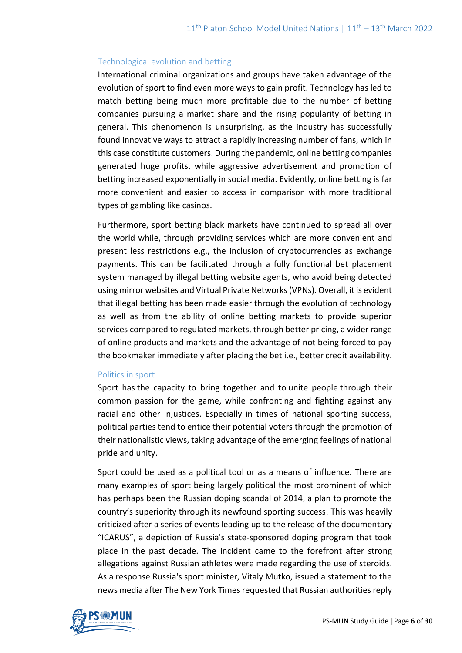### Technological evolution and betting

International criminal organizations and groups have taken advantage of the evolution of sport to find even more ways to gain profit. Technology has led to match betting being much more profitable due to the number of betting companies pursuing a market share and the rising popularity of betting in general. This phenomenon is unsurprising, as the industry has successfully found innovative ways to attract a rapidly increasing number of fans, which in this case constitute customers. During the pandemic, online betting companies generated huge profits, while aggressive advertisement and promotion of betting increased exponentially in social media. Evidently, online betting is far more convenient and easier to access in comparison with more traditional types of gambling like casinos.

Furthermore, sport betting black markets have continued to spread all over the world while, through providing services which are more convenient and present less restrictions e.g., the inclusion of cryptocurrencies as exchange payments. This can be facilitated through a fully functional bet placement system managed by illegal betting website agents, who avoid being detected using mirror websites and Virtual Private Networks (VPNs). Overall, it is evident that illegal betting has been made easier through the evolution of technology as well as from the ability of online betting markets to provide superior services compared to regulated markets, through better pricing, a wider range of online products and markets and the advantage of not being forced to pay the bookmaker immediately after placing the bet i.e., better credit availability.

#### Politics in sport

Sport has the capacity to bring together and to unite people through their common passion for the game, while confronting and fighting against any racial and other injustices. Especially in times of national sporting success, political parties tend to entice their potential voters through the promotion of their nationalistic views, taking advantage of the emerging feelings of national pride and unity.

Sport could be used as a political tool or as a means of influence. There are many examples of sport being largely political the most prominent of which has perhaps been the Russian doping scandal of 2014, a plan to promote the country's superiority through its newfound sporting success. This was heavily criticized after a series of events leading up to the release of the documentary "ICARUS", a depiction of Russia's state-sponsored doping program that took place in the past decade. The incident came to the forefront after strong allegations against Russian athletes were made regarding the use of steroids. As a response Russia's sport minister, Vitaly Mutko, issued a statement to the news media after The New York Times requested that Russian authorities reply

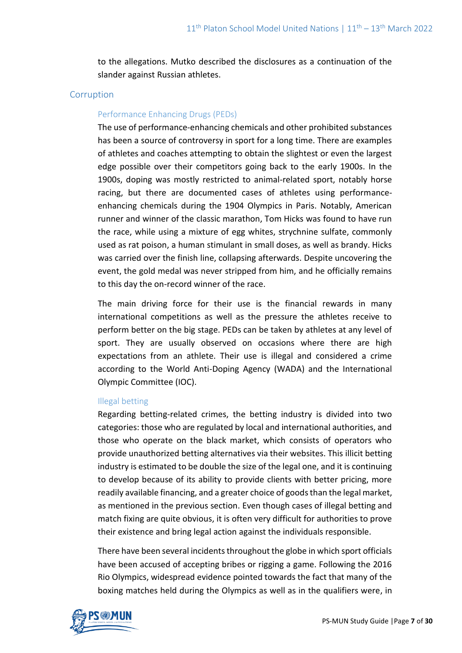to the allegations. Mutko described the disclosures as a continuation of the slander against Russian athletes.

#### **Corruption**

#### Performance Enhancing Drugs (PEDs)

The use of performance-enhancing chemicals and other prohibited substances has been a source of controversy in sport for a long time. There are examples of athletes and coaches attempting to obtain the slightest or even the largest edge possible over their competitors going back to the early 1900s. In the 1900s, doping was mostly restricted to animal-related sport, notably horse racing, but there are documented cases of athletes using performanceenhancing chemicals during the 1904 Olympics in Paris. Notably, American runner and winner of the classic marathon, Tom Hicks was found to have run the race, while using a mixture of egg whites, strychnine sulfate, commonly used as rat poison, a human stimulant in small doses, as well as brandy. Hicks was carried over the finish line, collapsing afterwards. Despite uncovering the event, the gold medal was never stripped from him, and he officially remains to this day the on-record winner of the race.

The main driving force for their use is the financial rewards in many international competitions as well as the pressure the athletes receive to perform better on the big stage. PEDs can be taken by athletes at any level of sport. They are usually observed on occasions where there are high expectations from an athlete. Their use is illegal and considered a crime according to the World Anti-Doping Agency (WADA) and the International Olympic Committee (IOC).

#### Illegal betting

Regarding betting-related crimes, the betting industry is divided into two categories: those who are regulated by local and international authorities, and those who operate on the black market, which consists of operators who provide unauthorized betting alternatives via their websites. This illicit betting industry is estimated to be double the size of the legal one, and it is continuing to develop because of its ability to provide clients with better pricing, more readily available financing, and a greater choice of goods than the legal market, as mentioned in the previous section. Even though cases of illegal betting and match fixing are quite obvious, it is often very difficult for authorities to prove their existence and bring legal action against the individuals responsible.

There have been several incidents throughout the globe in which sport officials have been accused of accepting bribes or rigging a game. Following the 2016 Rio Olympics, widespread evidence pointed towards the fact that many of the boxing matches held during the Olympics as well as in the qualifiers were, in

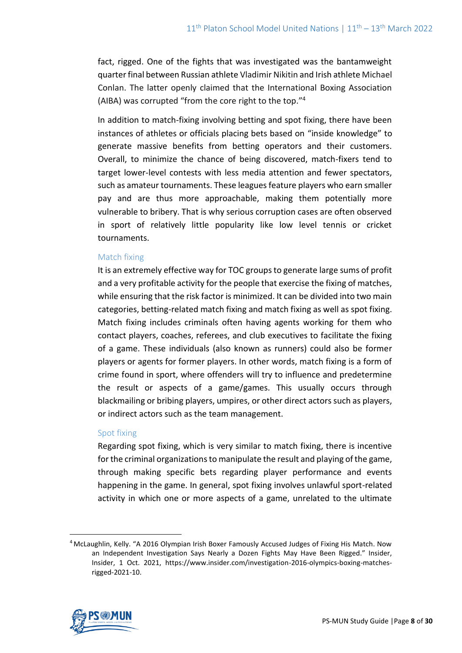fact, rigged. One of the fights that was investigated was the bantamweight quarter final between Russian athlete Vladimir Nikitin and Irish athlete Michael Conlan. The latter openly claimed that the International Boxing Association (AIBA) was corrupted "from the core right to the top." 4

In addition to match-fixing involving betting and spot fixing, there have been instances of athletes or officials placing bets based on "inside knowledge" to generate massive benefits from betting operators and their customers. Overall, to minimize the chance of being discovered, match-fixers tend to target lower-level contests with less media attention and fewer spectators, such as amateur tournaments. These leagues feature players who earn smaller pay and are thus more approachable, making them potentially more vulnerable to bribery. That is why serious corruption cases are often observed in sport of relatively little popularity like low level tennis or cricket tournaments.

#### Match fixing

It is an extremely effective way for TOC groups to generate large sums of profit and a very profitable activity for the people that exercise the fixing of matches, while ensuring that the risk factor is minimized. It can be divided into two main categories, betting-related match fixing and match fixing as well as spot fixing. Match fixing includes criminals often having agents working for them who contact players, coaches, referees, and club executives to facilitate the fixing of a game. These individuals (also known as runners) could also be former players or agents for former players. In other words, match fixing is a form of crime found in sport, where offenders will try to influence and predetermine the result or aspects of a game/games. This usually occurs through blackmailing or bribing players, umpires, or other direct actors such as players, or indirect actors such as the team management.

#### Spot fixing

Regarding spot fixing, which is very similar to match fixing, there is incentive for the criminal organizations to manipulate the result and playing of the game, through making specific bets regarding player performance and events happening in the game. In general, spot fixing involves unlawful sport-related activity in which one or more aspects of a game, unrelated to the ultimate

<sup>4</sup> McLaughlin, Kelly. "A 2016 Olympian Irish Boxer Famously Accused Judges of Fixing His Match. Now an Independent Investigation Says Nearly a Dozen Fights May Have Been Rigged." Insider, Insider, 1 Oct. 2021, https://www.insider.com/investigation-2016-olympics-boxing-matchesrigged-2021-10.

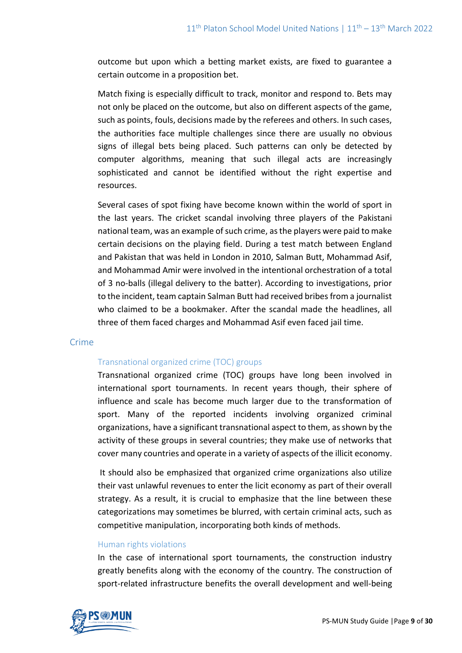outcome but upon which a betting market exists, are fixed to guarantee a certain outcome in a proposition bet.

Match fixing is especially difficult to track, monitor and respond to. Bets may not only be placed on the outcome, but also on different aspects of the game, such as points, fouls, decisions made by the referees and others. In such cases, the authorities face multiple challenges since there are usually no obvious signs of illegal bets being placed. Such patterns can only be detected by computer algorithms, meaning that such illegal acts are increasingly sophisticated and cannot be identified without the right expertise and resources.

Several cases of spot fixing have become known within the world of sport in the last years. The cricket scandal involving three players of the Pakistani national team, was an example of such crime, as the players were paid to make certain decisions on the playing field. During a test match between England and Pakistan that was held in London in 2010, Salman Butt, Mohammad Asif, and Mohammad Amir were involved in the intentional orchestration of a total of 3 no-balls (illegal delivery to the batter). According to investigations, prior to the incident, team captain Salman Butt had received bribes from a journalist who claimed to be a bookmaker. After the scandal made the headlines, all three of them faced charges and Mohammad Asif even faced jail time.

#### Crime

#### Transnational organized crime (TOC) groups

Transnational organized crime (TOC) groups have long been involved in international sport tournaments. In recent years though, their sphere of influence and scale has become much larger due to the transformation of sport. Many of the reported incidents involving organized criminal organizations, have a significant transnational aspect to them, as shown by the activity of these groups in several countries; they make use of networks that cover many countries and operate in a variety of aspects of the illicit economy.

It should also be emphasized that organized crime organizations also utilize their vast unlawful revenues to enter the licit economy as part of their overall strategy. As a result, it is crucial to emphasize that the line between these categorizations may sometimes be blurred, with certain criminal acts, such as competitive manipulation, incorporating both kinds of methods.

#### Human rights violations

In the case of international sport tournaments, the construction industry greatly benefits along with the economy of the country. The construction of sport-related infrastructure benefits the overall development and well-being

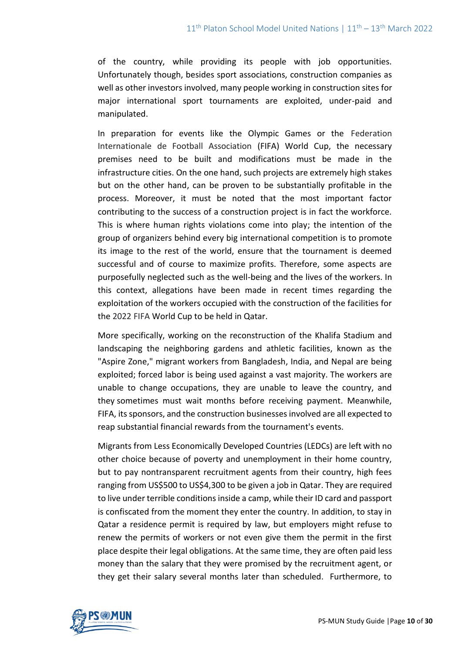of the country, while providing its people with job opportunities. Unfortunately though, besides sport associations, construction companies as well as other investors involved, many people working in construction sites for major international sport tournaments are exploited, under-paid and manipulated.

In preparation for events like the Olympic Games or the Federation Internationale de Football Association (FIFA) World Cup, the necessary premises need to be built and modifications must be made in the infrastructure cities. On the one hand, such projects are extremely high stakes but on the other hand, can be proven to be substantially profitable in the process. Moreover, it must be noted that the most important factor contributing to the success of a construction project is in fact the workforce. This is where human rights violations come into play; the intention of the group of organizers behind every big international competition is to promote its image to the rest of the world, ensure that the tournament is deemed successful and of course to maximize profits. Therefore, some aspects are purposefully neglected such as the well-being and the lives of the workers. In this context, allegations have been made in recent times regarding the exploitation of the workers occupied with the construction of the facilities for the 2022 FIFA World Cup to be held in Qatar.

More specifically, working on the reconstruction of the Khalifa Stadium and landscaping the neighboring gardens and athletic facilities, known as the "Aspire Zone," migrant workers from Bangladesh, India, and Nepal are being exploited; forced labor is being used against a vast majority. The workers are unable to change occupations, they are unable to leave the country, and they sometimes must wait months before receiving payment. Meanwhile, FIFA, its sponsors, and the construction businesses involved are all expected to reap substantial financial rewards from the tournament's events.

Migrants from Less Economically Developed Countries (LEDCs) are left with no other choice because of poverty and unemployment in their home country, but to pay nontransparent recruitment agents from their country, high fees ranging from US\$500 to US\$4,300 to be given a job in Qatar. They are required to live under terrible conditions inside a camp, while their ID card and passport is confiscated from the moment they enter the country. In addition, to stay in Qatar a residence permit is required by law, but employers might refuse to renew the permits of workers or not even give them the permit in the first place despite their legal obligations. At the same time, they are often paid less money than the salary that they were promised by the recruitment agent, or they get their salary several months later than scheduled. Furthermore, to

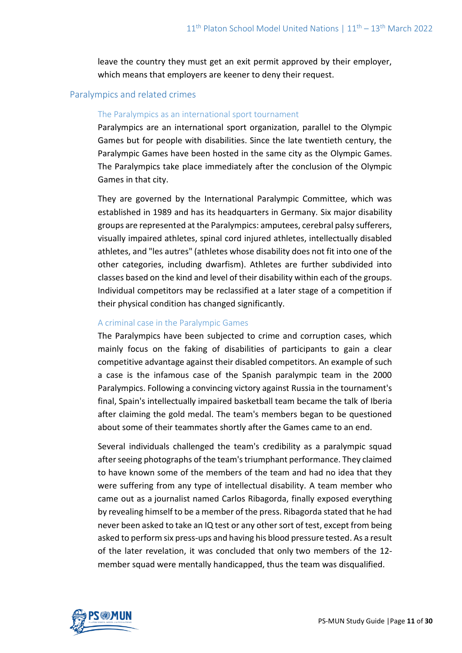leave the country they must get an exit permit approved by their employer, which means that employers are keener to deny their request.

### Paralympics and related crimes

#### The Paralympics as an international sport tournament

Paralympics are an international sport organization, parallel to the Olympic Games but for people with disabilities. Since the late twentieth century, the Paralympic Games have been hosted in the same city as the Olympic Games. The Paralympics take place immediately after the conclusion of the Olympic Games in that city.

They are governed by the International Paralympic Committee, which was established in 1989 and has its headquarters in Germany. Six major disability groups are represented at the Paralympics: amputees, cerebral palsy sufferers, visually impaired athletes, spinal cord injured athletes, intellectually disabled athletes, and "les autres" (athletes whose disability does not fit into one of the other categories, including dwarfism). Athletes are further subdivided into classes based on the kind and level of their disability within each of the groups. Individual competitors may be reclassified at a later stage of a competition if their physical condition has changed significantly.

#### A criminal case in the Paralympic Games

The Paralympics have been subjected to crime and corruption cases, which mainly focus on the faking of disabilities of participants to gain a clear competitive advantage against their disabled competitors. An example of such a case is the infamous case of the Spanish paralympic team in the 2000 Paralympics. Following a convincing victory against Russia in the tournament's final, Spain's intellectually impaired basketball team became the talk of Iberia after claiming the gold medal. The team's members began to be questioned about some of their teammates shortly after the Games came to an end.

Several individuals challenged the team's credibility as a paralympic squad after seeing photographs of the team's triumphant performance. They claimed to have known some of the members of the team and had no idea that they were suffering from any type of intellectual disability. A team member who came out as a journalist named Carlos Ribagorda, finally exposed everything by revealing himself to be a member of the press. Ribagorda stated that he had never been asked to take an IQ test or any other sort of test, except from being asked to perform six press-ups and having his blood pressure tested. As a result of the later revelation, it was concluded that only two members of the 12 member squad were mentally handicapped, thus the team was disqualified.

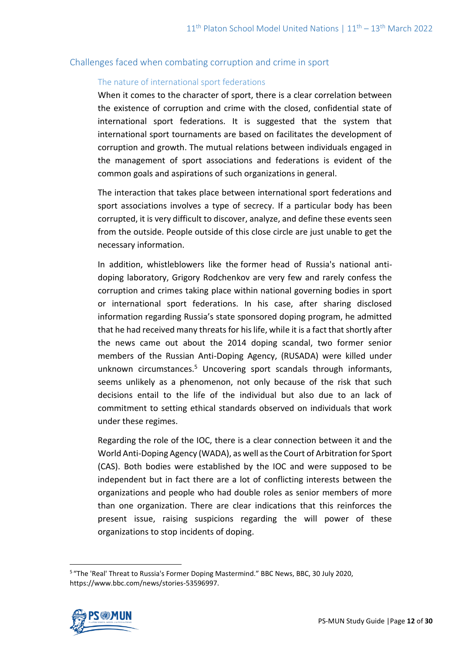## Challenges faced when combating corruption and crime in sport

#### The nature of international sport federations

When it comes to the character of sport, there is a clear correlation between the existence of corruption and crime with the closed, confidential state of international sport federations. It is suggested that the system that international sport tournaments are based on facilitates the development of corruption and growth. The mutual relations between individuals engaged in the management of sport associations and federations is evident of the common goals and aspirations of such organizations in general.

The interaction that takes place between international sport federations and sport associations involves a type of secrecy. If a particular body has been corrupted, it is very difficult to discover, analyze, and define these events seen from the outside. People outside of this close circle are just unable to get the necessary information.

In addition, whistleblowers like the former head of Russia's national antidoping laboratory, Grigory Rodchenkov are very few and rarely confess the corruption and crimes taking place within national governing bodies in sport or international sport federations. In his case, after sharing disclosed information regarding Russia's state sponsored doping program, he admitted that he had received many threats for his life, while it is a fact that shortly after the news came out about the 2014 doping scandal, two former senior members of the Russian Anti-Doping Agency, (RUSADA) were killed under unknown circumstances.<sup>5</sup> Uncovering sport scandals through informants, seems unlikely as a phenomenon, not only because of the risk that such decisions entail to the life of the individual but also due to an lack of commitment to setting ethical standards observed on individuals that work under these regimes.

Regarding the role of the IOC, there is a clear connection between it and the World Anti-Doping Agency (WADA), as well as the Court of Arbitration for Sport (CAS). Both bodies were established by the IOC and were supposed to be independent but in fact there are a lot of conflicting interests between the organizations and people who had double roles as senior members of more than one organization. There are clear indications that this reinforces the present issue, raising suspicions regarding the will power of these organizations to stop incidents of doping.

<sup>&</sup>lt;sup>5</sup> "The 'Real' Threat to Russia's Former Doping Mastermind." BBC News, BBC, 30 July 2020, https://www.bbc.com/news/stories-53596997.

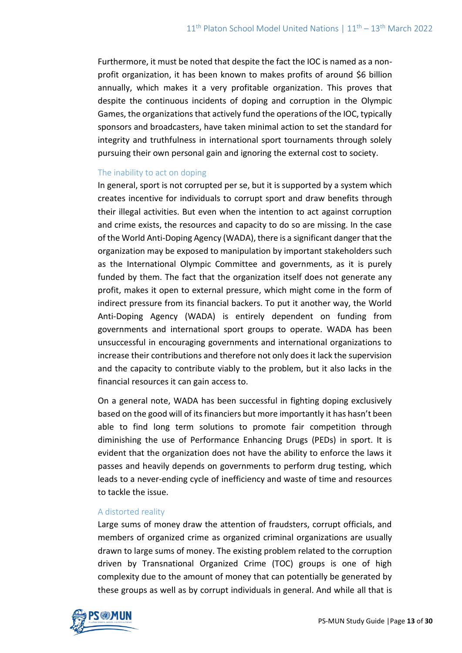Furthermore, it must be noted that despite the fact the IOC is named as a nonprofit organization, it has been known to makes profits of around \$6 billion annually, which makes it a very profitable organization. This proves that despite the continuous incidents of doping and corruption in the Olympic Games, the organizations that actively fund the operations of the IOC, typically sponsors and broadcasters, have taken minimal action to set the standard for integrity and truthfulness in international sport tournaments through solely pursuing their own personal gain and ignoring the external cost to society.

### The inability to act on doping

In general, sport is not corrupted per se, but it is supported by a system which creates incentive for individuals to corrupt sport and draw benefits through their illegal activities. But even when the intention to act against corruption and crime exists, the resources and capacity to do so are missing. In the case of the World Anti-Doping Agency (WADA), there is a significant danger that the organization may be exposed to manipulation by important stakeholders such as the International Olympic Committee and governments, as it is purely funded by them. The fact that the organization itself does not generate any profit, makes it open to external pressure, which might come in the form of indirect pressure from its financial backers. To put it another way, the World Anti-Doping Agency (WADA) is entirely dependent on funding from governments and international sport groups to operate. WADA has been unsuccessful in encouraging governments and international organizations to increase their contributions and therefore not only does it lack the supervision and the capacity to contribute viably to the problem, but it also lacks in the financial resources it can gain access to.

On a general note, WADA has been successful in fighting doping exclusively based on the good will of its financiers but more importantly it has hasn't been able to find long term solutions to promote fair competition through diminishing the use of Performance Enhancing Drugs (PEDs) in sport. It is evident that the organization does not have the ability to enforce the laws it passes and heavily depends on governments to perform drug testing, which leads to a never-ending cycle of inefficiency and waste of time and resources to tackle the issue.

#### A distorted reality

Large sums of money draw the attention of fraudsters, corrupt officials, and members of organized crime as organized criminal organizations are usually drawn to large sums of money. The existing problem related to the corruption driven by Transnational Organized Crime (TOC) groups is one of high complexity due to the amount of money that can potentially be generated by these groups as well as by corrupt individuals in general. And while all that is

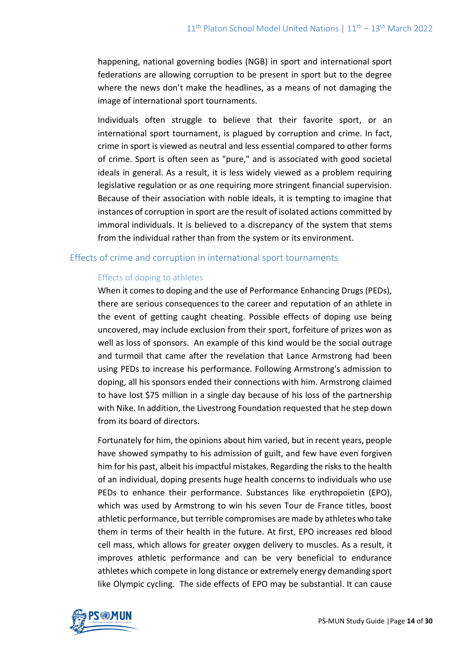happening, national governing bodies (NGB) in sport and international sport federations are allowing corruption to be present in sport but to the degree where the news don't make the headlines, as a means of not damaging the image of international sport tournaments.

Individuals often struggle to believe that their favorite sport, or an international sport tournament, is plagued by corruption and crime. In fact, crime in sport is viewed as neutral and less essential compared to other forms of crime. Sport is often seen as "pure," and is associated with good societal ideals in general. As a result, it is less widely viewed as a problem requiring legislative regulation or as one requiring more stringent financial supervision. Because of their association with noble ideals, it is tempting to imagine that instances of corruption in sport are the result of isolated actions committed by immoral individuals. It is believed to a discrepancy of the system that stems from the individual rather than from the system or its environment.

## Effects of crime and corruption in international sport tournaments

### Effects of doping to athletes

When it comes to doping and the use of Performance Enhancing Drugs (PEDs), there are serious consequences to the career and reputation of an athlete in the event of getting caught cheating. Possible effects of doping use being uncovered, may include exclusion from their sport, forfeiture of prizes won as well as loss of sponsors. An example of this kind would be the social outrage and turmoil that came after the revelation that Lance Armstrong had been using PEDs to increase his performance. Following Armstrong's admission to doping, all his sponsors ended their connections with him. Armstrong claimed to have lost \$75 million in a single day because of his loss of the partnership with Nike. In addition, the Livestrong Foundation requested that he step down from its board of directors.

Fortunately for him, the opinions about him varied, but in recent years, people have showed sympathy to his admission of guilt, and few have even forgiven him for his past, albeit his impactful mistakes. Regarding the risks to the health of an individual, doping presents huge health concerns to individuals who use PEDs to enhance their performance. Substances like erythropoietin (EPO), which was used by Armstrong to win his seven Tour de France titles, boost athletic performance, but terrible compromises are made by athletes who take them in terms of their health in the future. At first, EPO increases red blood cell mass, which allows for greater oxygen delivery to muscles. As a result, it improves athletic performance and can be very beneficial to endurance athletes which compete in long distance or extremely energy demanding sport like Olympic cycling. The side effects of EPO may be substantial. It can cause

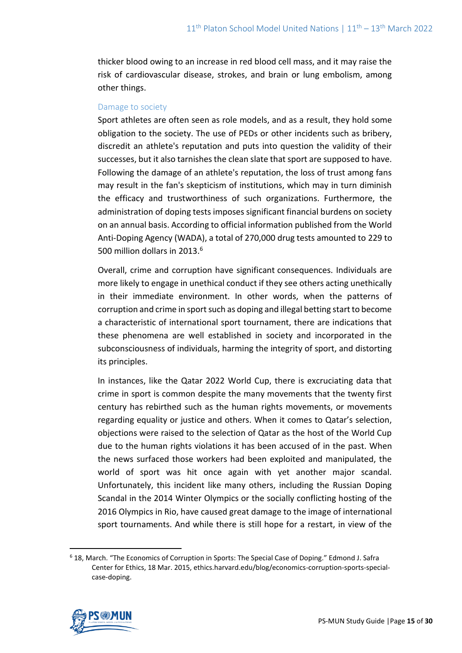thicker blood owing to an increase in red blood cell mass, and it may raise the risk of cardiovascular disease, strokes, and brain or lung embolism, among other things.

#### Damage to society

Sport athletes are often seen as role models, and as a result, they hold some obligation to the society. The use of PEDs or other incidents such as bribery, discredit an athlete's reputation and puts into question the validity of their successes, but it also tarnishes the clean slate that sport are supposed to have. Following the damage of an athlete's reputation, the loss of trust among fans may result in the fan's skepticism of institutions, which may in turn diminish the efficacy and trustworthiness of such organizations. Furthermore, the administration of doping tests imposes significant financial burdens on society on an annual basis. According to official information published from the World Anti-Doping Agency (WADA), a total of 270,000 drug tests amounted to 229 to 500 million dollars in 2013.<sup>6</sup>

Overall, crime and corruption have significant consequences. Individuals are more likely to engage in unethical conduct if they see others acting unethically in their immediate environment. In other words, when the patterns of corruption and crime in sport such as doping and illegal betting start to become a characteristic of international sport tournament, there are indications that these phenomena are well established in society and incorporated in the subconsciousness of individuals, harming the integrity of sport, and distorting its principles.

In instances, like the Qatar 2022 World Cup, there is excruciating data that crime in sport is common despite the many movements that the twenty first century has rebirthed such as the human rights movements, or movements regarding equality or justice and others. When it comes to Qatar's selection, objections were raised to the selection of Qatar as the host of the World Cup due to the human rights violations it has been accused of in the past. When the news surfaced those workers had been exploited and manipulated, the world of sport was hit once again with yet another major scandal. Unfortunately, this incident like many others, including the Russian Doping Scandal in the 2014 Winter Olympics or the socially conflicting hosting of the 2016 Olympics in Rio, have caused great damage to the image of international sport tournaments. And while there is still hope for a restart, in view of the

<sup>6</sup> 18, March. "The Economics of Corruption in Sports: The Special Case of Doping." Edmond J. Safra Center for Ethics, 18 Mar. 2015, ethics.harvard.edu/blog/economics-corruption-sports-specialcase-doping.

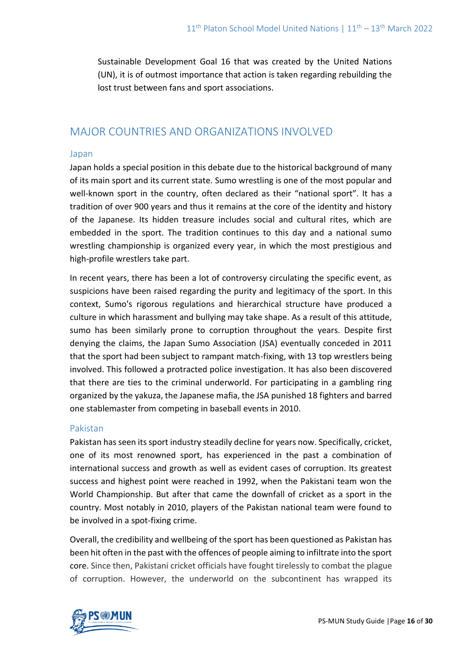Sustainable Development Goal 16 that was created by the United Nations (UN), it is of outmost importance that action is taken regarding rebuilding the lost trust between fans and sport associations.

## MAJOR COUNTRIES AND ORGANIZATIONS INVOLVED

### Japan

Japan holds a special position in this debate due to the historical background of many of its main sport and its current state. Sumo wrestling is one of the most popular and well-known sport in the country, often declared as their "national sport". It has a tradition of over 900 years and thus it remains at the core of the identity and history of the Japanese. Its hidden treasure includes social and cultural rites, which are embedded in the sport. The tradition continues to this day and a national sumo wrestling championship is organized every year, in which the most prestigious and high-profile wrestlers take part.

In recent years, there has been a lot of controversy circulating the specific event, as suspicions have been raised regarding the purity and legitimacy of the sport. In this context, Sumo's rigorous regulations and hierarchical structure have produced a culture in which harassment and bullying may take shape. As a result of this attitude, sumo has been similarly prone to corruption throughout the years. Despite first denying the claims, the Japan Sumo Association (JSA) eventually conceded in 2011 that the sport had been subject to rampant match-fixing, with 13 top wrestlers being involved. This followed a protracted police investigation. It has also been discovered that there are ties to the criminal underworld. For participating in a gambling ring organized by the yakuza, the Japanese mafia, the JSA punished 18 fighters and barred one stablemaster from competing in baseball events in 2010.

#### Pakistan

Pakistan has seen its sport industry steadily decline for years now. Specifically, cricket, one of its most renowned sport, has experienced in the past a combination of international success and growth as well as evident cases of corruption. Its greatest success and highest point were reached in 1992, when the Pakistani team won the World Championship. But after that came the downfall of cricket as a sport in the country. Most notably in 2010, players of the Pakistan national team were found to be involved in a spot-fixing crime.

Overall, the credibility and wellbeing of the sport has been questioned as Pakistan has been hit often in the past with the offences of people aiming to infiltrate into the sport core. Since then, Pakistani cricket officials have fought tirelessly to combat the plague of corruption. However, the underworld on the subcontinent has wrapped its

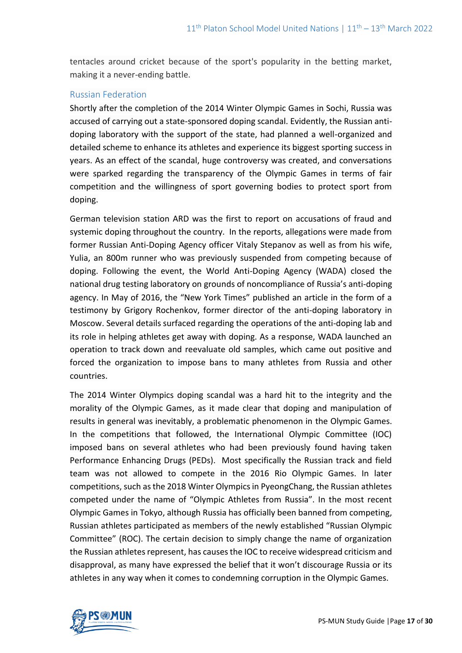tentacles around cricket because of the sport's popularity in the betting market, making it a never-ending battle.

## Russian Federation

Shortly after the completion of the 2014 Winter Olympic Games in Sochi, Russia was accused of carrying out a state-sponsored doping scandal. Evidently, the Russian antidoping laboratory with the support of the state, had planned a well-organized and detailed scheme to enhance its athletes and experience its biggest sporting success in years. As an effect of the scandal, huge controversy was created, and conversations were sparked regarding the transparency of the Olympic Games in terms of fair competition and the willingness of sport governing bodies to protect sport from doping.

German television station ARD was the first to report on accusations of fraud and systemic doping throughout the country. In the reports, allegations were made from former Russian Anti-Doping Agency officer Vitaly Stepanov as well as from his wife, Yulia, an 800m runner who was previously suspended from competing because of doping. Following the event, the World Anti-Doping Agency (WADA) closed the national drug testing laboratory on grounds of noncompliance of Russia's anti-doping agency. In May of 2016, the "New York Times" published an article in the form of a testimony by Grigory Rochenkov, former director of the anti-doping laboratory in Moscow. Several details surfaced regarding the operations of the anti-doping lab and its role in helping athletes get away with doping. As a response, WADA launched an operation to track down and reevaluate old samples, which came out positive and forced the organization to impose bans to many athletes from Russia and other countries.

The 2014 Winter Olympics doping scandal was a hard hit to the integrity and the morality of the Olympic Games, as it made clear that doping and manipulation of results in general was inevitably, a problematic phenomenon in the Olympic Games. In the competitions that followed, the International Olympic Committee (IOC) imposed bans on several athletes who had been previously found having taken Performance Enhancing Drugs (PEDs). Most specifically the Russian track and field team was not allowed to compete in the 2016 Rio Olympic Games. In later competitions, such as the 2018 Winter Olympics in PyeongChang, the Russian athletes competed under the name of "Olympic Athletes from Russia". In the most recent Olympic Games in Tokyo, although Russia has officially been banned from competing, Russian athletes participated as members of the newly established "Russian Olympic Committee" (ROC). The certain decision to simply change the name of organization the Russian athletes represent, has causes the IOC to receive widespread criticism and disapproval, as many have expressed the belief that it won't discourage Russia or its athletes in any way when it comes to condemning corruption in the Olympic Games.

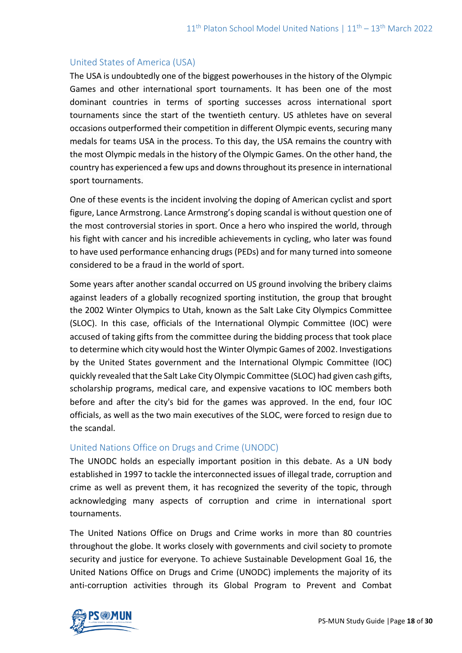## United States of America (USA)

The USA is undoubtedly one of the biggest powerhouses in the history of the Olympic Games and other international sport tournaments. It has been one of the most dominant countries in terms of sporting successes across international sport tournaments since the start of the twentieth century. US athletes have on several occasions outperformed their competition in different Olympic events, securing many medals for teams USA in the process. To this day, the USA remains the country with the most Olympic medals in the history of the Olympic Games. On the other hand, the country has experienced a few ups and downs throughout its presence in international sport tournaments.

One of these events is the incident involving the doping of American cyclist and sport figure, Lance Armstrong. Lance Armstrong's doping scandal is without question one of the most controversial stories in sport. Once a hero who inspired the world, through his fight with cancer and his incredible achievements in cycling, who later was found to have used performance enhancing drugs (PEDs) and for many turned into someone considered to be a fraud in the world of sport.

Some years after another scandal occurred on US ground involving the bribery claims against leaders of a globally recognized sporting institution, the group that brought the 2002 Winter Olympics to Utah, known as the Salt Lake City Olympics Committee (SLOC). In this case, officials of the International Olympic Committee (IOC) were accused of taking gifts from the committee during the bidding process that took place to determine which city would host the Winter Olympic Games of 2002. Investigations by the United States government and the International Olympic Committee (IOC) quickly revealed that the Salt Lake City Olympic Committee (SLOC) had given cash gifts, scholarship programs, medical care, and expensive vacations to IOC members both before and after the city's bid for the games was approved. In the end, four IOC officials, as well as the two main executives of the SLOC, were forced to resign due to the scandal.

## United Nations Office on Drugs and Crime (UNODC)

The UNODC holds an especially important position in this debate. As a UN body established in 1997 to tackle the interconnected issues of illegal trade, corruption and crime as well as prevent them, it has recognized the severity of the topic, through acknowledging many aspects of corruption and crime in international sport tournaments.

The United Nations Office on Drugs and Crime works in more than 80 countries throughout the globe. It works closely with governments and civil society to promote security and justice for everyone. To achieve Sustainable Development Goal 16, the United Nations Office on Drugs and Crime (UNODC) implements the majority of its anti-corruption activities through its Global Program to Prevent and Combat

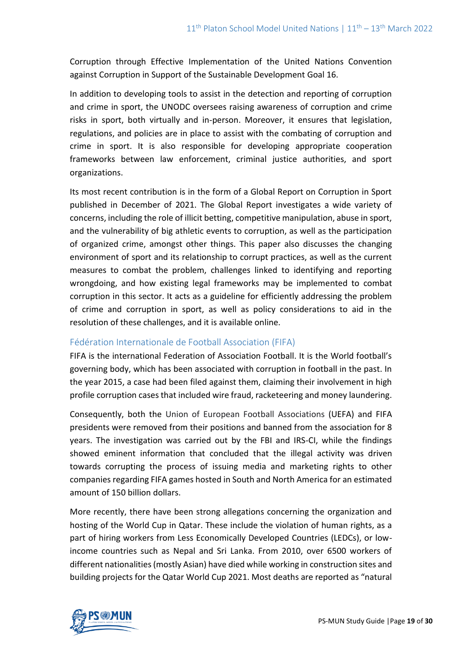Corruption through Effective Implementation of the United Nations Convention against Corruption in Support of the Sustainable Development Goal 16.

In addition to developing tools to assist in the detection and reporting of corruption and crime in sport, the UNODC oversees raising awareness of corruption and crime risks in sport, both virtually and in-person. Moreover, it ensures that legislation, regulations, and policies are in place to assist with the combating of corruption and crime in sport. It is also responsible for developing appropriate cooperation frameworks between law enforcement, criminal justice authorities, and sport organizations.

Its most recent contribution is in the form of a Global Report on Corruption in Sport published in December of 2021. The Global Report investigates a wide variety of concerns, including the role of illicit betting, competitive manipulation, abuse in sport, and the vulnerability of big athletic events to corruption, as well as the participation of organized crime, amongst other things. This paper also discusses the changing environment of sport and its relationship to corrupt practices, as well as the current measures to combat the problem, challenges linked to identifying and reporting wrongdoing, and how existing legal frameworks may be implemented to combat corruption in this sector. It acts as a guideline for efficiently addressing the problem of crime and corruption in sport, as well as policy considerations to aid in the resolution of these challenges, and it is available online.

## Fédération Internationale de Football Association (FIFA)

FIFA is the international Federation of Association Football. It is the World football's governing body, which has been associated with corruption in football in the past. In the year 2015, a case had been filed against them, claiming their involvement in high profile corruption cases that included wire fraud, racketeering and money laundering.

Consequently, both the Union of European Football Associations (UEFA) and FIFA presidents were removed from their positions and banned from the association for 8 years. The investigation was carried out by the FBI and IRS-CI, while the findings showed eminent information that concluded that the illegal activity was driven towards corrupting the process of issuing media and marketing rights to other companies regarding FIFA games hosted in South and North America for an estimated amount of 150 billion dollars.

More recently, there have been strong allegations concerning the organization and hosting of the World Cup in Qatar. These include the violation of human rights, as a part of hiring workers from Less Economically Developed Countries (LEDCs), or lowincome countries such as Nepal and Sri Lanka. From 2010, over 6500 workers of different nationalities (mostly Asian) have died while working in construction sites and building projects for the Qatar World Cup 2021. Most deaths are reported as "natural

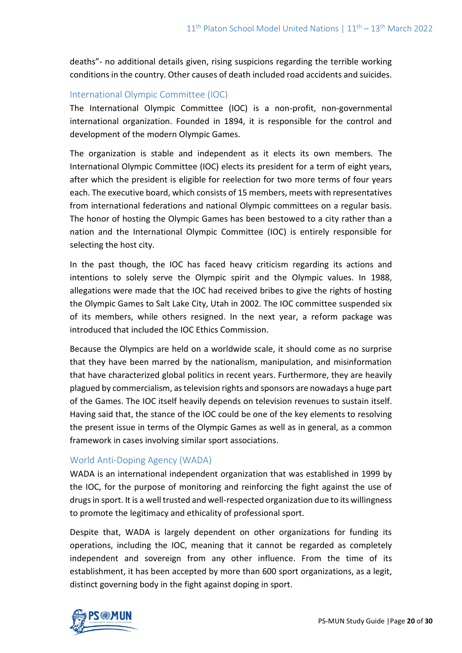deaths"- no additional details given, rising suspicions regarding the terrible working conditions in the country. Other causes of death included road accidents and suicides.

## International Olympic Committee (IOC)

The International Olympic Committee (IOC) is a non-profit, non-governmental international organization. Founded in 1894, it is responsible for the control and development of the modern Olympic Games.

The organization is stable and independent as it elects its own members. The International Olympic Committee (IOC) elects its president for a term of eight years, after which the president is eligible for reelection for two more terms of four years each. The executive board, which consists of 15 members, meets with representatives from international federations and national Olympic committees on a regular basis. The honor of hosting the Olympic Games has been bestowed to a city rather than a nation and the International Olympic Committee (IOC) is entirely responsible for selecting the host city.

In the past though, the IOC has faced heavy criticism regarding its actions and intentions to solely serve the Olympic spirit and the Olympic values. In 1988, allegations were made that the IOC had received bribes to give the rights of hosting the Olympic Games to Salt Lake City, Utah in 2002. The IOC committee suspended six of its members, while others resigned. In the next year, a reform package was introduced that included the IOC Ethics Commission.

Because the Olympics are held on a worldwide scale, it should come as no surprise that they have been marred by the nationalism, manipulation, and misinformation that have characterized global politics in recent years. Furthermore, they are heavily plagued by commercialism, as television rights and sponsors are nowadays a huge part of the Games. The IOC itself heavily depends on television revenues to sustain itself. Having said that, the stance of the IOC could be one of the key elements to resolving the present issue in terms of the Olympic Games as well as in general, as a common framework in cases involving similar sport associations.

## World Anti-Doping Agency (WADA)

WADA is an international independent organization that was established in 1999 by the IOC, for the purpose of monitoring and reinforcing the fight against the use of drugs in sport. It is a well trusted and well-respected organization due to its willingness to promote the legitimacy and ethicality of professional sport.

Despite that, WADA is largely dependent on other organizations for funding its operations, including the IOC, meaning that it cannot be regarded as completely independent and sovereign from any other influence. From the time of its establishment, it has been accepted by more than 600 sport organizations, as a legit, distinct governing body in the fight against doping in sport.

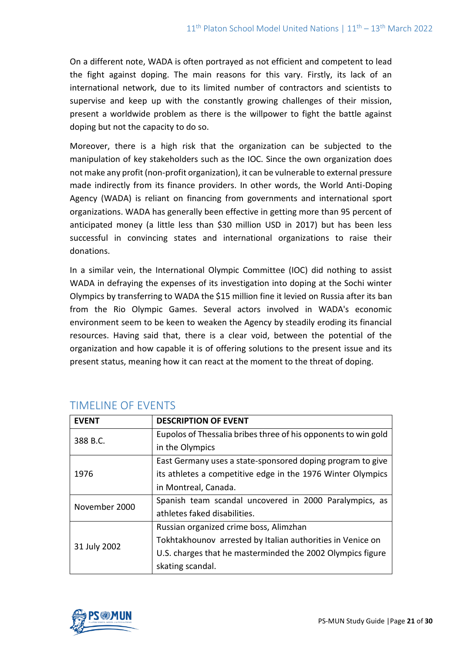On a different note, WADA is often portrayed as not efficient and competent to lead the fight against doping. The main reasons for this vary. Firstly, its lack of an international network, due to its limited number of contractors and scientists to supervise and keep up with the constantly growing challenges of their mission, present a worldwide problem as there is the willpower to fight the battle against doping but not the capacity to do so.

Moreover, there is a high risk that the organization can be subjected to the manipulation of key stakeholders such as the IOC. Since the own organization does not make any profit (non-profit organization), it can be vulnerable to external pressure made indirectly from its finance providers. In other words, the World Anti-Doping Agency (WADA) is reliant on financing from governments and international sport organizations. WADA has generally been effective in getting more than 95 percent of anticipated money (a little less than \$30 million USD in 2017) but has been less successful in convincing states and international organizations to raise their donations.

In a similar vein, the International Olympic Committee (IOC) did nothing to assist WADA in defraying the expenses of its investigation into doping at the Sochi winter Olympics by transferring to WADA the \$15 million fine it levied on Russia after its ban from the Rio Olympic Games. Several actors involved in WADA's economic environment seem to be keen to weaken the Agency by steadily eroding its financial resources. Having said that, there is a clear void, between the potential of the organization and how capable it is of offering solutions to the present issue and its present status, meaning how it can react at the moment to the threat of doping.

| <b>FVFNT</b>  | <b>DESCRIPTION OF EVENT</b>                                    |
|---------------|----------------------------------------------------------------|
| 388 B.C.      | Eupolos of Thessalia bribes three of his opponents to win gold |
|               | in the Olympics                                                |
| 1976          | East Germany uses a state-sponsored doping program to give     |
|               | its athletes a competitive edge in the 1976 Winter Olympics    |
|               | in Montreal, Canada.                                           |
| November 2000 | Spanish team scandal uncovered in 2000 Paralympics, as         |
|               | athletes faked disabilities.                                   |
| 31 July 2002  | Russian organized crime boss, Alimzhan                         |
|               | Tokhtakhounov arrested by Italian authorities in Venice on     |
|               | U.S. charges that he masterminded the 2002 Olympics figure     |
|               | skating scandal.                                               |

# TIMELINE OF EVENTS

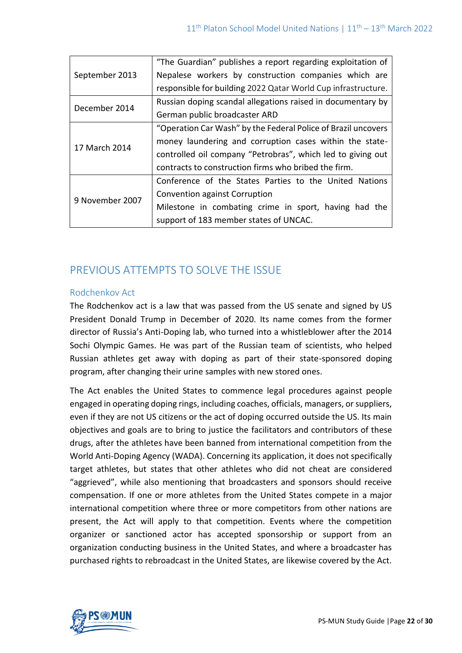| September 2013  | "The Guardian" publishes a report regarding exploitation of   |
|-----------------|---------------------------------------------------------------|
|                 | Nepalese workers by construction companies which are          |
|                 | responsible for building 2022 Qatar World Cup infrastructure. |
| December 2014   | Russian doping scandal allegations raised in documentary by   |
|                 | German public broadcaster ARD                                 |
| 17 March 2014   | "Operation Car Wash" by the Federal Police of Brazil uncovers |
|                 | money laundering and corruption cases within the state-       |
|                 | controlled oil company "Petrobras", which led to giving out   |
|                 | contracts to construction firms who bribed the firm.          |
| 9 November 2007 | Conference of the States Parties to the United Nations        |
|                 | Convention against Corruption                                 |
|                 | Milestone in combating crime in sport, having had the         |
|                 | support of 183 member states of UNCAC.                        |

# PREVIOUS ATTEMPTS TO SOLVE THE ISSUE

## Rodchenkov Act

The Rodchenkov act is a law that was passed from the US senate and signed by US President Donald Trump in December of 2020. Its name comes from the former director of Russia's Anti-Doping lab, who turned into a whistleblower after the 2014 Sochi Olympic Games. He was part of the Russian team of scientists, who helped Russian athletes get away with doping as part of their state-sponsored doping program, after changing their urine samples with new stored ones.

The Act enables the United States to commence legal procedures against people engaged in operating doping rings, including coaches, officials, managers, or suppliers, even if they are not US citizens or the act of doping occurred outside the US. Its main objectives and goals are to bring to justice the facilitators and contributors of these drugs, after the athletes have been banned from international competition from the World Anti-Doping Agency (WADA). Concerning its application, it does not specifically target athletes, but states that other athletes who did not cheat are considered "aggrieved", while also mentioning that broadcasters and sponsors should receive compensation. If one or more athletes from the United States compete in a major international competition where three or more competitors from other nations are present, the Act will apply to that competition. Events where the competition organizer or sanctioned actor has accepted sponsorship or support from an organization conducting business in the United States, and where a broadcaster has purchased rights to rebroadcast in the United States, are likewise covered by the Act.

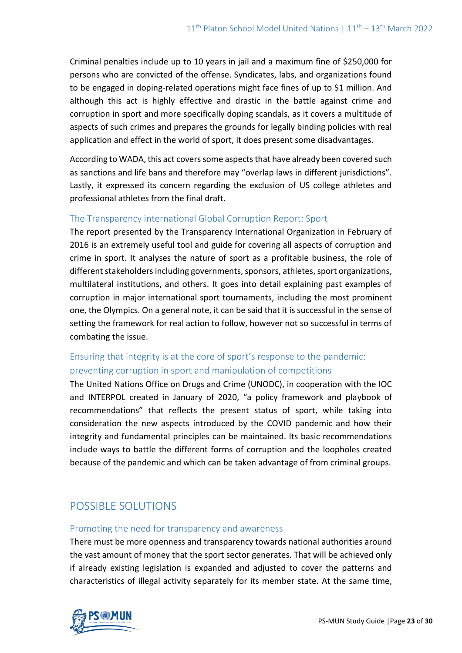Criminal penalties include up to 10 years in jail and a maximum fine of \$250,000 for persons who are convicted of the offense. Syndicates, labs, and organizations found to be engaged in doping-related operations might face fines of up to \$1 million. And although this act is highly effective and drastic in the battle against crime and corruption in sport and more specifically doping scandals, as it covers a multitude of aspects of such crimes and prepares the grounds for legally binding policies with real application and effect in the world of sport, it does present some disadvantages.

According to WADA, this act covers some aspects that have already been covered such as sanctions and life bans and therefore may "overlap laws in different jurisdictions". Lastly, it expressed its concern regarding the exclusion of US college athletes and professional athletes from the final draft.

## The Transparency international Global Corruption Report: Sport

The report presented by the Transparency International Organization in February of 2016 is an extremely useful tool and guide for covering all aspects of corruption and crime in sport. It analyses the nature of sport as a profitable business, the role of different stakeholders including governments, sponsors, athletes, sport organizations, multilateral institutions, and others. It goes into detail explaining past examples of corruption in major international sport tournaments, including the most prominent one, the Olympics. On a general note, it can be said that it is successful in the sense of setting the framework for real action to follow, however not so successful in terms of combating the issue.

# Ensuring that integrity is at the core of sport's response to the pandemic: preventing corruption in sport and manipulation of competitions

The United Nations Office on Drugs and Crime (UNODC), in cooperation with the IOC and INTERPOL created in January of 2020, "a policy framework and playbook of recommendations" that reflects the present status of sport, while taking into consideration the new aspects introduced by the COVID pandemic and how their integrity and fundamental principles can be maintained. Its basic recommendations include ways to battle the different forms of corruption and the loopholes created because of the pandemic and which can be taken advantage of from criminal groups.

# POSSIBLE SOLUTIONS

## Promoting the need for transparency and awareness

There must be more openness and transparency towards national authorities around the vast amount of money that the sport sector generates. That will be achieved only if already existing legislation is expanded and adjusted to cover the patterns and characteristics of illegal activity separately for its member state. At the same time,

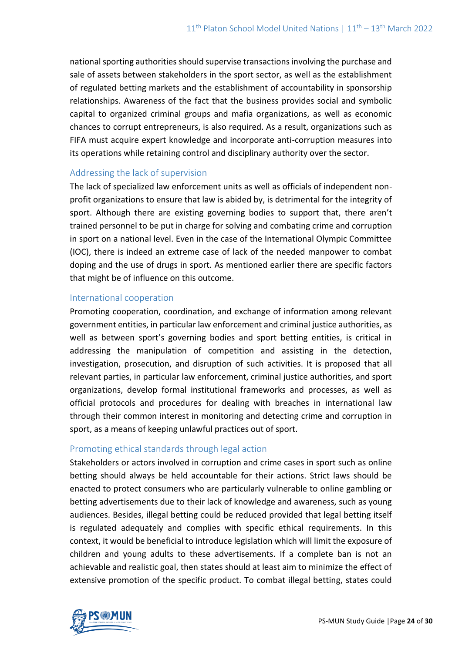national sporting authorities should supervise transactions involving the purchase and sale of assets between stakeholders in the sport sector, as well as the establishment of regulated betting markets and the establishment of accountability in sponsorship relationships. Awareness of the fact that the business provides social and symbolic capital to organized criminal groups and mafia organizations, as well as economic chances to corrupt entrepreneurs, is also required. As a result, organizations such as FIFA must acquire expert knowledge and incorporate anti-corruption measures into its operations while retaining control and disciplinary authority over the sector.

## Addressing the lack of supervision

The lack of specialized law enforcement units as well as officials of independent nonprofit organizations to ensure that law is abided by, is detrimental for the integrity of sport. Although there are existing governing bodies to support that, there aren't trained personnel to be put in charge for solving and combating crime and corruption in sport on a national level. Even in the case of the International Olympic Committee (IOC), there is indeed an extreme case of lack of the needed manpower to combat doping and the use of drugs in sport. As mentioned earlier there are specific factors that might be of influence on this outcome.

#### International cooperation

Promoting cooperation, coordination, and exchange of information among relevant government entities, in particular law enforcement and criminal justice authorities, as well as between sport's governing bodies and sport betting entities, is critical in addressing the manipulation of competition and assisting in the detection, investigation, prosecution, and disruption of such activities. It is proposed that all relevant parties, in particular law enforcement, criminal justice authorities, and sport organizations, develop formal institutional frameworks and processes, as well as official protocols and procedures for dealing with breaches in international law through their common interest in monitoring and detecting crime and corruption in sport, as a means of keeping unlawful practices out of sport.

## Promoting ethical standards through legal action

Stakeholders or actors involved in corruption and crime cases in sport such as online betting should always be held accountable for their actions. Strict laws should be enacted to protect consumers who are particularly vulnerable to online gambling or betting advertisements due to their lack of knowledge and awareness, such as young audiences. Besides, illegal betting could be reduced provided that legal betting itself is regulated adequately and complies with specific ethical requirements. In this context, it would be beneficial to introduce legislation which will limit the exposure of children and young adults to these advertisements. If a complete ban is not an achievable and realistic goal, then states should at least aim to minimize the effect of extensive promotion of the specific product. To combat illegal betting, states could

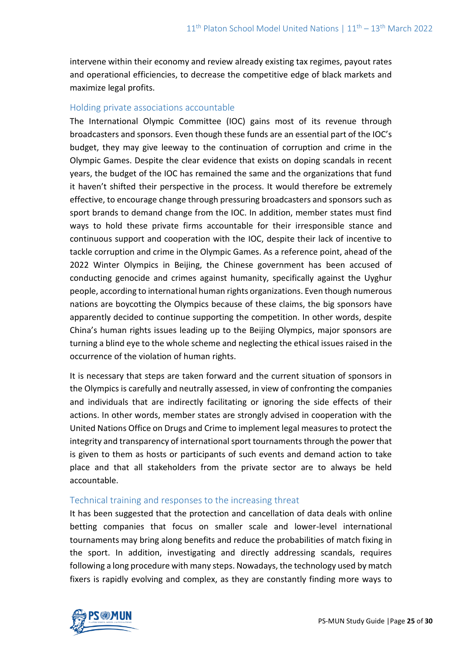intervene within their economy and review already existing tax regimes, payout rates and operational efficiencies, to decrease the competitive edge of black markets and maximize legal profits.

### Holding private associations accountable

The International Olympic Committee (IOC) gains most of its revenue through broadcasters and sponsors. Even though these funds are an essential part of the IOC's budget, they may give leeway to the continuation of corruption and crime in the Olympic Games. Despite the clear evidence that exists on doping scandals in recent years, the budget of the IOC has remained the same and the organizations that fund it haven't shifted their perspective in the process. It would therefore be extremely effective, to encourage change through pressuring broadcasters and sponsors such as sport brands to demand change from the IOC. In addition, member states must find ways to hold these private firms accountable for their irresponsible stance and continuous support and cooperation with the IOC, despite their lack of incentive to tackle corruption and crime in the Olympic Games. As a reference point, ahead of the 2022 Winter Olympics in Beijing, the Chinese government has been accused of conducting genocide and crimes against humanity, specifically against the Uyghur people, according to international human rights organizations. Even though numerous nations are boycotting the Olympics because of these claims, the big sponsors have apparently decided to continue supporting the competition. In other words, despite China's human rights issues leading up to the Beijing Olympics, major sponsors are turning a blind eye to the whole scheme and neglecting the ethical issues raised in the occurrence of the violation of human rights.

It is necessary that steps are taken forward and the current situation of sponsors in the Olympics is carefully and neutrally assessed, in view of confronting the companies and individuals that are indirectly facilitating or ignoring the side effects of their actions. In other words, member states are strongly advised in cooperation with the United Nations Office on Drugs and Crime to implement legal measures to protect the integrity and transparency of international sport tournaments through the power that is given to them as hosts or participants of such events and demand action to take place and that all stakeholders from the private sector are to always be held accountable.

## Technical training and responses to the increasing threat

It has been suggested that the protection and cancellation of data deals with online betting companies that focus on smaller scale and lower-level international tournaments may bring along benefits and reduce the probabilities of match fixing in the sport. In addition, investigating and directly addressing scandals, requires following a long procedure with many steps. Nowadays, the technology used by match fixers is rapidly evolving and complex, as they are constantly finding more ways to

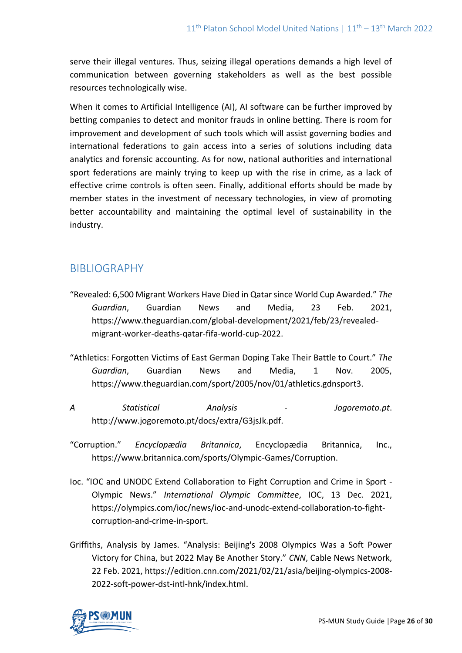serve their illegal ventures. Thus, seizing illegal operations demands a high level of communication between governing stakeholders as well as the best possible resources technologically wise.

When it comes to Artificial Intelligence (AI), AI software can be further improved by betting companies to detect and monitor frauds in online betting. There is room for improvement and development of such tools which will assist governing bodies and international federations to gain access into a series of solutions including data analytics and forensic accounting. As for now, national authorities and international sport federations are mainly trying to keep up with the rise in crime, as a lack of effective crime controls is often seen. Finally, additional efforts should be made by member states in the investment of necessary technologies, in view of promoting better accountability and maintaining the optimal level of sustainability in the industry.

# BIBLIOGRAPHY

- "Revealed: 6,500 Migrant Workers Have Died in Qatar since World Cup Awarded." *The Guardian*, Guardian News and Media, 23 Feb. 2021, https://www.theguardian.com/global-development/2021/feb/23/revealedmigrant-worker-deaths-qatar-fifa-world-cup-2022.
- "Athletics: Forgotten Victims of East German Doping Take Their Battle to Court." *The Guardian*, Guardian News and Media, 1 Nov. 2005, https://www.theguardian.com/sport/2005/nov/01/athletics.gdnsport3.
- *A Statistical Analysis - Jogoremoto.pt*. http://www.jogoremoto.pt/docs/extra/G3jsJk.pdf.
- "Corruption." *Encyclopædia Britannica*, Encyclopædia Britannica, Inc., https://www.britannica.com/sports/Olympic-Games/Corruption.
- Ioc. "IOC and UNODC Extend Collaboration to Fight Corruption and Crime in Sport Olympic News." *International Olympic Committee*, IOC, 13 Dec. 2021, https://olympics.com/ioc/news/ioc-and-unodc-extend-collaboration-to-fightcorruption-and-crime-in-sport.
- Griffiths, Analysis by James. "Analysis: Beijing's 2008 Olympics Was a Soft Power Victory for China, but 2022 May Be Another Story." *CNN*, Cable News Network, 22 Feb. 2021, https://edition.cnn.com/2021/02/21/asia/beijing-olympics-2008- 2022-soft-power-dst-intl-hnk/index.html.

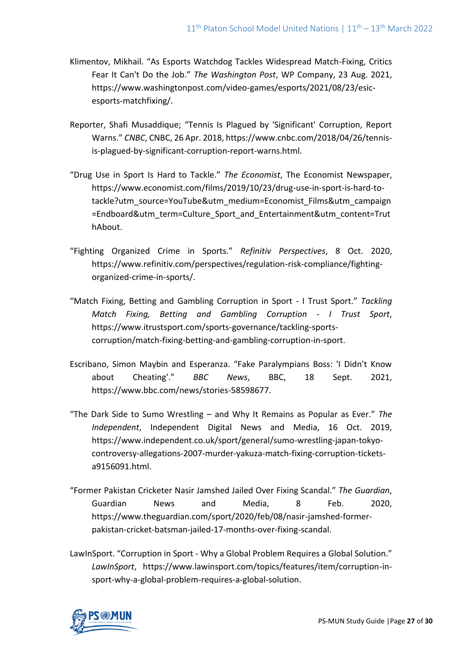- Klimentov, Mikhail. "As Esports Watchdog Tackles Widespread Match-Fixing, Critics Fear It Can't Do the Job." *The Washington Post*, WP Company, 23 Aug. 2021, https://www.washingtonpost.com/video-games/esports/2021/08/23/esicesports-matchfixing/.
- Reporter, Shafi Musaddique; "Tennis Is Plagued by 'Significant' Corruption, Report Warns." *CNBC*, CNBC, 26 Apr. 2018, https://www.cnbc.com/2018/04/26/tennisis-plagued-by-significant-corruption-report-warns.html.
- "Drug Use in Sport Is Hard to Tackle." *The Economist*, The Economist Newspaper, https://www.economist.com/films/2019/10/23/drug-use-in-sport-is-hard-totackle?utm\_source=YouTube&utm\_medium=Economist\_Films&utm\_campaign =Endboard&utm\_term=Culture\_Sport\_and\_Entertainment&utm\_content=Trut hAbout.
- "Fighting Organized Crime in Sports." *Refinitiv Perspectives*, 8 Oct. 2020, https://www.refinitiv.com/perspectives/regulation-risk-compliance/fightingorganized-crime-in-sports/.
- "Match Fixing, Betting and Gambling Corruption in Sport I Trust Sport." *Tackling Match Fixing, Betting and Gambling Corruption - I Trust Sport*, https://www.itrustsport.com/sports-governance/tackling-sportscorruption/match-fixing-betting-and-gambling-corruption-in-sport.
- Escribano, Simon Maybin and Esperanza. "Fake Paralympians Boss: 'I Didn't Know about Cheating'." *BBC News*, BBC, 18 Sept. 2021, https://www.bbc.com/news/stories-58598677.
- "The Dark Side to Sumo Wrestling and Why It Remains as Popular as Ever." *The Independent*, Independent Digital News and Media, 16 Oct. 2019, https://www.independent.co.uk/sport/general/sumo-wrestling-japan-tokyocontroversy-allegations-2007-murder-yakuza-match-fixing-corruption-ticketsa9156091.html.
- "Former Pakistan Cricketer Nasir Jamshed Jailed Over Fixing Scandal." *The Guardian*, Guardian News and Media, 8 Feb. 2020, https://www.theguardian.com/sport/2020/feb/08/nasir-jamshed-formerpakistan-cricket-batsman-jailed-17-months-over-fixing-scandal.
- LawInSport. "Corruption in Sport Why a Global Problem Requires a Global Solution." *LawInSport*, https://www.lawinsport.com/topics/features/item/corruption-insport-why-a-global-problem-requires-a-global-solution.

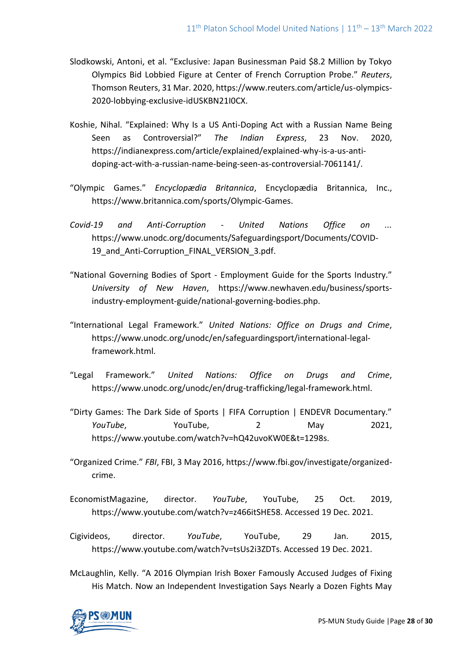- Slodkowski, Antoni, et al. "Exclusive: Japan Businessman Paid \$8.2 Million by Tokyo Olympics Bid Lobbied Figure at Center of French Corruption Probe." *Reuters*, Thomson Reuters, 31 Mar. 2020, https://www.reuters.com/article/us-olympics-2020-lobbying-exclusive-idUSKBN21I0CX.
- Koshie, Nihal. "Explained: Why Is a US Anti-Doping Act with a Russian Name Being Seen as Controversial?" *The Indian Express*, 23 Nov. 2020, https://indianexpress.com/article/explained/explained-why-is-a-us-antidoping-act-with-a-russian-name-being-seen-as-controversial-7061141/.
- "Olympic Games." *Encyclopædia Britannica*, Encyclopædia Britannica, Inc., https://www.britannica.com/sports/Olympic-Games.
- *Covid-19 and Anti-Corruption - United Nations Office on ...* https://www.unodc.org/documents/Safeguardingsport/Documents/COVID-19 and Anti-Corruption FINAL VERSION 3.pdf.
- "National Governing Bodies of Sport Employment Guide for the Sports Industry." *University of New Haven*, https://www.newhaven.edu/business/sportsindustry-employment-guide/national-governing-bodies.php.
- "International Legal Framework." *United Nations: Office on Drugs and Crime*, https://www.unodc.org/unodc/en/safeguardingsport/international-legalframework.html.
- "Legal Framework." *United Nations: Office on Drugs and Crime*, https://www.unodc.org/unodc/en/drug-trafficking/legal-framework.html.
- "Dirty Games: The Dark Side of Sports | FIFA Corruption | ENDEVR Documentary." *YouTube*, YouTube, 2 May 2021, https://www.youtube.com/watch?v=hQ42uvoKW0E&t=1298s.
- "Organized Crime." *FBI*, FBI, 3 May 2016, [https://www.fbi.gov/investigate/organized](https://www.fbi.gov/investigate/organized-crime)[crime.](https://www.fbi.gov/investigate/organized-crime)
- EconomistMagazine, director. *YouTube*, YouTube, 25 Oct. 2019, https://www.youtube.com/watch?v=z466itSHE58. Accessed 19 Dec. 2021.
- Cigivideos, director. *YouTube*, YouTube, 29 Jan. 2015, https://www.youtube.com/watch?v=tsUs2i3ZDTs. Accessed 19 Dec. 2021.
- McLaughlin, Kelly. "A 2016 Olympian Irish Boxer Famously Accused Judges of Fixing His Match. Now an Independent Investigation Says Nearly a Dozen Fights May

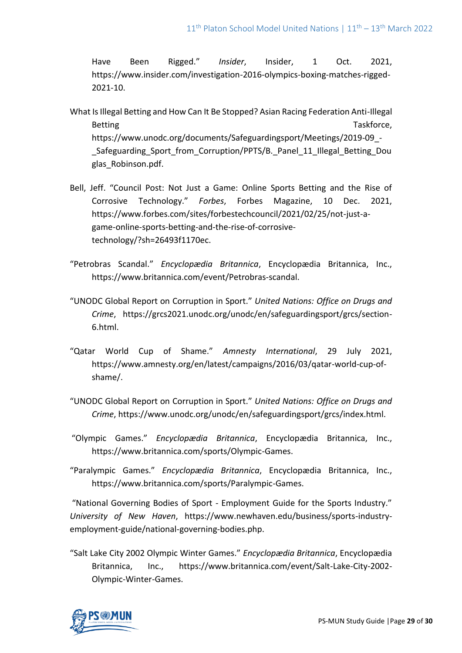Have Been Rigged." *Insider*, Insider, 1 Oct. 2021, [https://www.insider.com/investigation-2016-olympics-boxing-matches-rigged-](https://www.insider.com/investigation-2016-olympics-boxing-matches-rigged-2021-10)[2021-10.](https://www.insider.com/investigation-2016-olympics-boxing-matches-rigged-2021-10)

- What Is Illegal Betting and How Can It Be Stopped? Asian Racing Federation Anti-Illegal Betting Taskforce, https://www.unodc.org/documents/Safeguardingsport/Meetings/2019-09\_- Safeguarding Sport from Corruption/PPTS/B. Panel 11 Illegal Betting Dou glas\_Robinson.pdf.
- Bell, Jeff. "Council Post: Not Just a Game: Online Sports Betting and the Rise of Corrosive Technology." *Forbes*, Forbes Magazine, 10 Dec. 2021, https://www.forbes.com/sites/forbestechcouncil/2021/02/25/not-just-agame-online-sports-betting-and-the-rise-of-corrosivetechnology/?sh=26493f1170ec.
- "Petrobras Scandal." *Encyclopædia Britannica*, Encyclopædia Britannica, Inc., https://www.britannica.com/event/Petrobras-scandal.
- "UNODC Global Report on Corruption in Sport." *United Nations: Office on Drugs and Crime*, https://grcs2021.unodc.org/unodc/en/safeguardingsport/grcs/section-6.html.
- "Qatar World Cup of Shame." *Amnesty International*, 29 July 2021, https://www.amnesty.org/en/latest/campaigns/2016/03/qatar-world-cup-ofshame/.
- "UNODC Global Report on Corruption in Sport." *United Nations: Office on Drugs and Crime*, https://www.unodc.org/unodc/en/safeguardingsport/grcs/index.html.
- "Olympic Games." *Encyclopædia Britannica*, Encyclopædia Britannica, Inc., https://www.britannica.com/sports/Olympic-Games.
- "Paralympic Games." *Encyclopædia Britannica*, Encyclopædia Britannica, Inc., https://www.britannica.com/sports/Paralympic-Games.

"National Governing Bodies of Sport - Employment Guide for the Sports Industry." *University of New Haven*, https://www.newhaven.edu/business/sports-industryemployment-guide/national-governing-bodies.php.

"Salt Lake City 2002 Olympic Winter Games." *Encyclopædia Britannica*, Encyclopædia Britannica, Inc., https://www.britannica.com/event/Salt-Lake-City-2002- Olympic-Winter-Games.